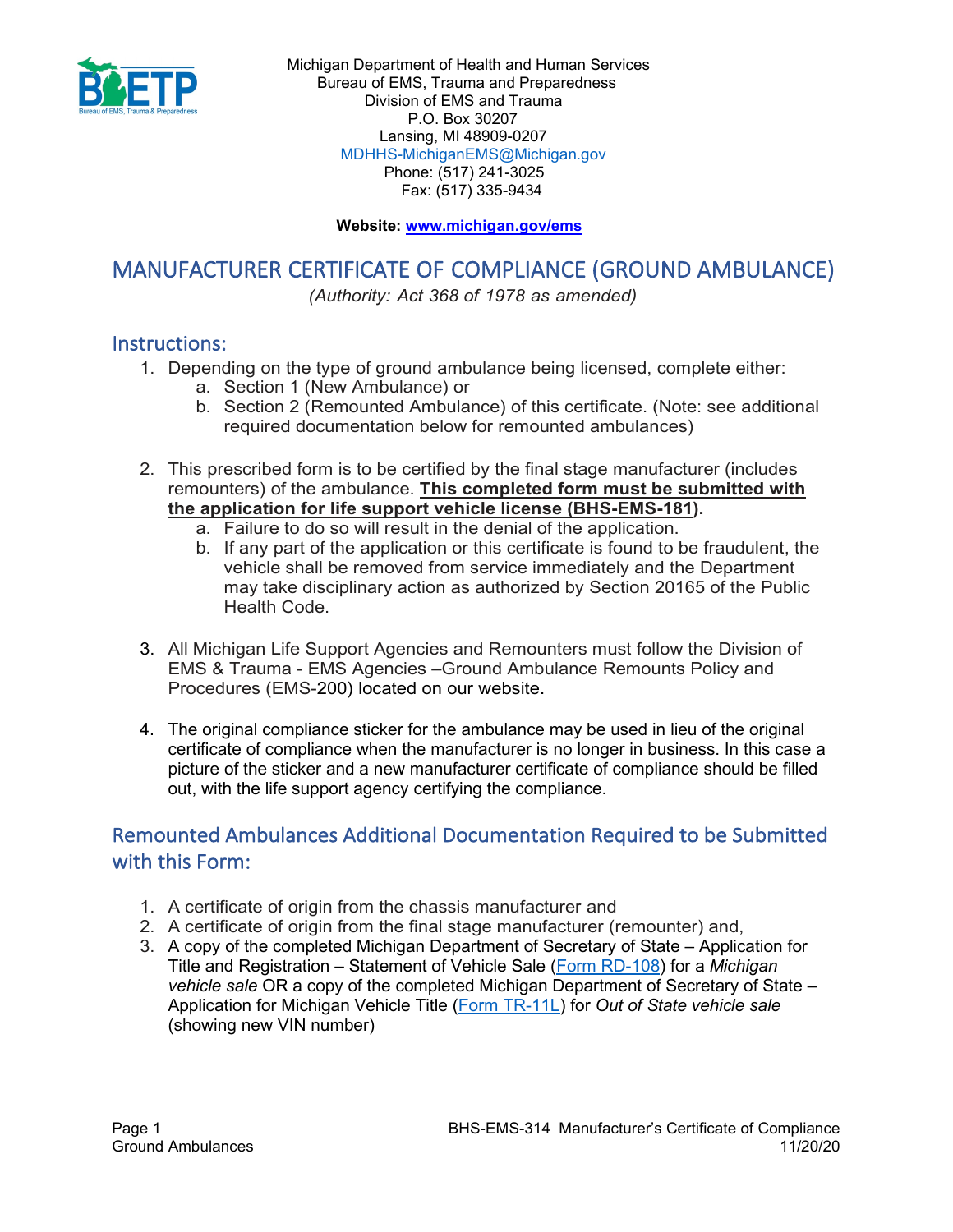

### **Website: [www.michigan.gov/ems](http://www.michigan.gov/ems)**

# MANUFACTURER CERTIFICATE OF COMPLIANCE (GROUND AMBULANCE)

*(Authority: Act 368 of 1978 as amended)*

## Instructions:

- 1. Depending on the type of ground ambulance being licensed, complete either:
	- a. Section 1 (New Ambulance) or
	- b. Section 2 (Remounted Ambulance) of this certificate. (Note: see additional required documentation below for remounted ambulances)
- 2. This prescribed form is to be certified by the final stage manufacturer (includes remounters) of the ambulance. **This completed form must be submitted with the application for life support vehicle license (BHS-EMS-181).**
	- a. Failure to do so will result in the denial of the application.
	- b. If any part of the application or this certificate is found to be fraudulent, the vehicle shall be removed from service immediately and the Department may take disciplinary action as authorized by Section 20165 of the Public Health Code.
- 3. All Michigan Life Support Agencies and Remounters must follow the Division of EMS & Trauma - EMS Agencies –Ground Ambulance Remounts Policy and Procedures (EMS-200) located on our website.
- 4. The original compliance sticker for the ambulance may be used in lieu of the original certificate of compliance when the manufacturer is no longer in business. In this case a picture of the sticker and a new manufacturer certificate of compliance should be filled out, with the life support agency certifying the compliance.

## Remounted Ambulances Additional Documentation Required to be Submitted with this Form:

- 1. A certificate of origin from the chassis manufacturer and
- 2. A certificate of origin from the final stage manufacturer (remounter) and,
- 3. A copy of the completed Michigan Department of Secretary of State Application for Title and Registration – Statement of Vehicle Sale [\(Form RD-108\)](https://www.michigan.gov/documents/sos/RD-108_01.01.2017_545577_7.pdf) for a *Michigan vehicle sale* OR a copy of the completed Michigan Department of Secretary of State – Application for Michigan Vehicle Title [\(Form TR-11L\)](https://www.michigan.gov/documents/tr-11L_16050_7.pdf) for *Out of State vehicle sale* (showing new VIN number)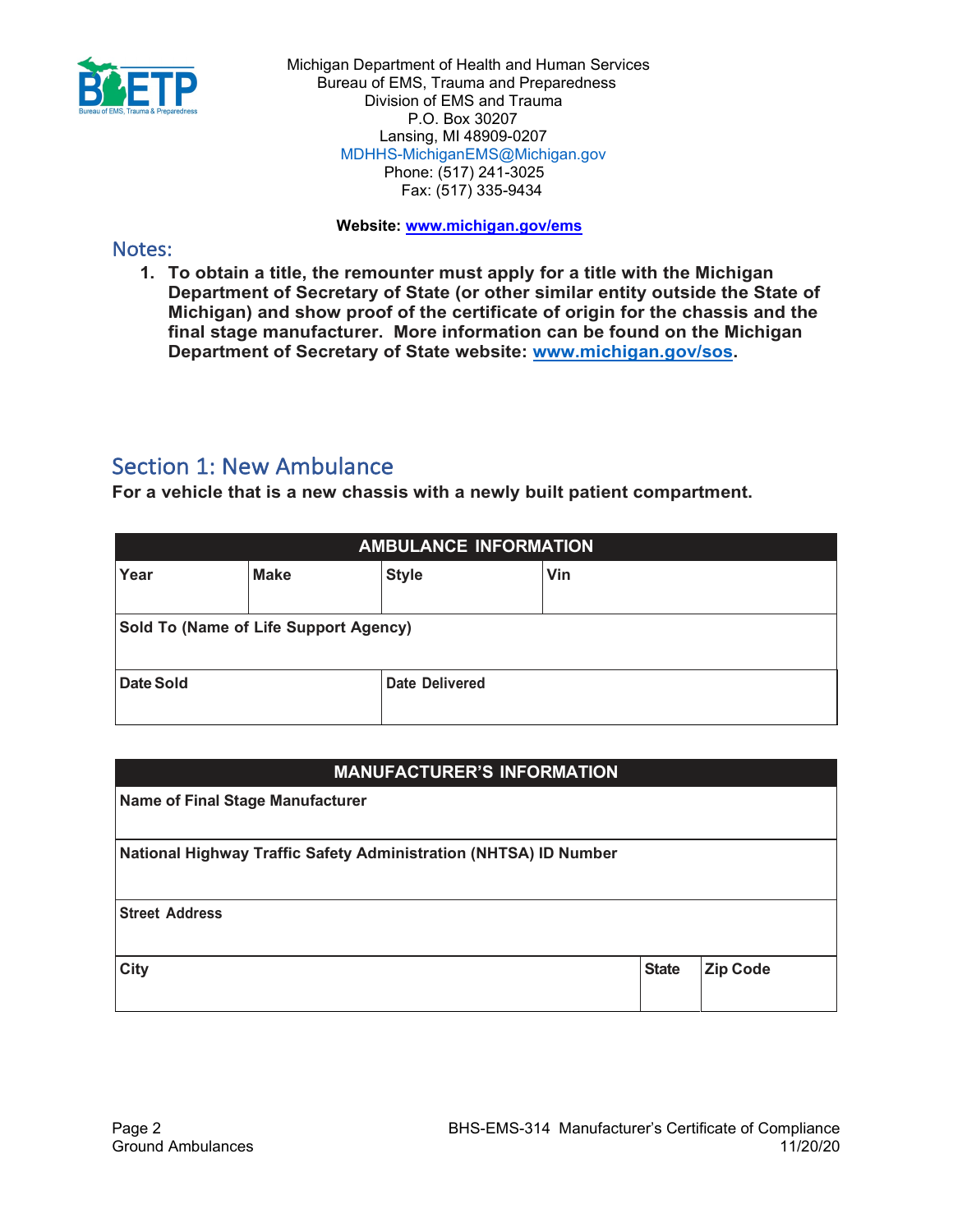

#### **Website: [www.michigan.gov/ems](http://www.michigan.gov/ems)**

## Notes:

**1. To obtain a title, the remounter must apply for a title with the Michigan Department of Secretary of State (or other similar entity outside the State of Michigan) and show proof of the certificate of origin for the chassis and the final stage manufacturer. More information can be found on the Michigan Department of Secretary of State website: [www.michigan.gov/sos.](http://www.michigan.gov/sos)**

## Section 1: New Ambulance

**For a vehicle that is a new chassis with a newly built patient compartment.**

| <b>AMBULANCE INFORMATION</b>          |             |                |     |  |  |
|---------------------------------------|-------------|----------------|-----|--|--|
| Year                                  | <b>Make</b> | <b>Style</b>   | Vin |  |  |
| Sold To (Name of Life Support Agency) |             |                |     |  |  |
| Date Sold                             |             | Date Delivered |     |  |  |

### **MANUFACTURER'S INFORMATION**

**Name of Final Stage Manufacturer** 

**National Highway Traffic Safety Administration (NHTSA) ID Number**

**Street Address**

**City State Zip Code**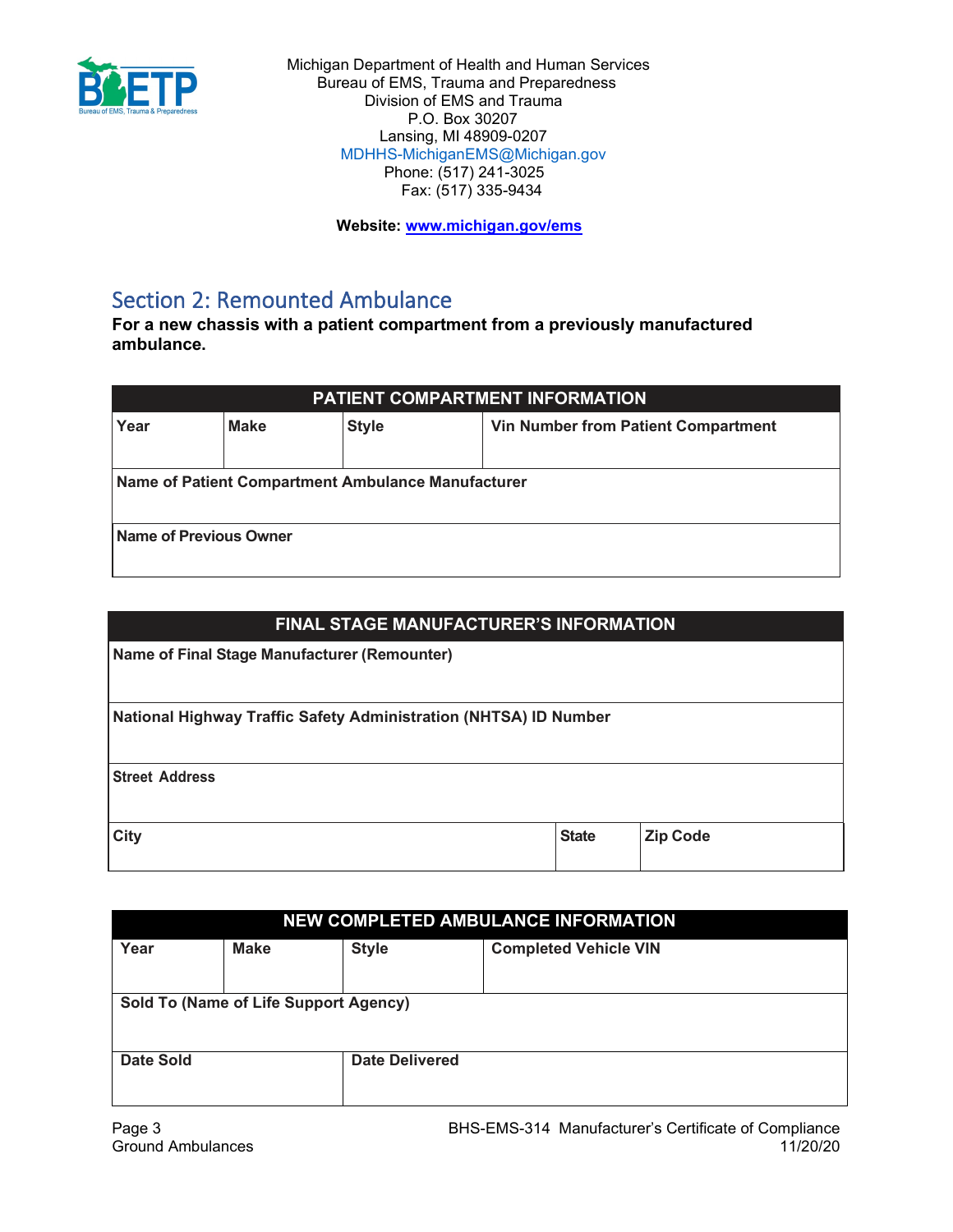

 **Website: [www.michigan.gov/ems](http://www.michigan.gov/ems)**

# Section 2: Remounted Ambulance

**For a new chassis with a patient compartment from a previously manufactured ambulance.** 

| <b>PATIENT COMPARTMENT INFORMATION</b>                                            |  |  |  |  |  |
|-----------------------------------------------------------------------------------|--|--|--|--|--|
| <b>Make</b><br><b>Style</b><br><b>Vin Number from Patient Compartment</b><br>Year |  |  |  |  |  |
| Name of Patient Compartment Ambulance Manufacturer                                |  |  |  |  |  |
| Name of Previous Owner                                                            |  |  |  |  |  |

| <b>FINAL STAGE MANUFACTURER'S INFORMATION</b>                    |              |                 |  |  |
|------------------------------------------------------------------|--------------|-----------------|--|--|
| Name of Final Stage Manufacturer (Remounter)                     |              |                 |  |  |
| National Highway Traffic Safety Administration (NHTSA) ID Number |              |                 |  |  |
|                                                                  |              |                 |  |  |
| <b>Street Address</b>                                            |              |                 |  |  |
|                                                                  |              |                 |  |  |
| City                                                             | <b>State</b> | <b>Zip Code</b> |  |  |

| <b>NEW COMPLETED AMBULANCE INFORMATION</b> |             |                       |                              |  |  |
|--------------------------------------------|-------------|-----------------------|------------------------------|--|--|
| Year                                       | <b>Make</b> | <b>Style</b>          | <b>Completed Vehicle VIN</b> |  |  |
| Sold To (Name of Life Support Agency)      |             |                       |                              |  |  |
| <b>Date Sold</b>                           |             | <b>Date Delivered</b> |                              |  |  |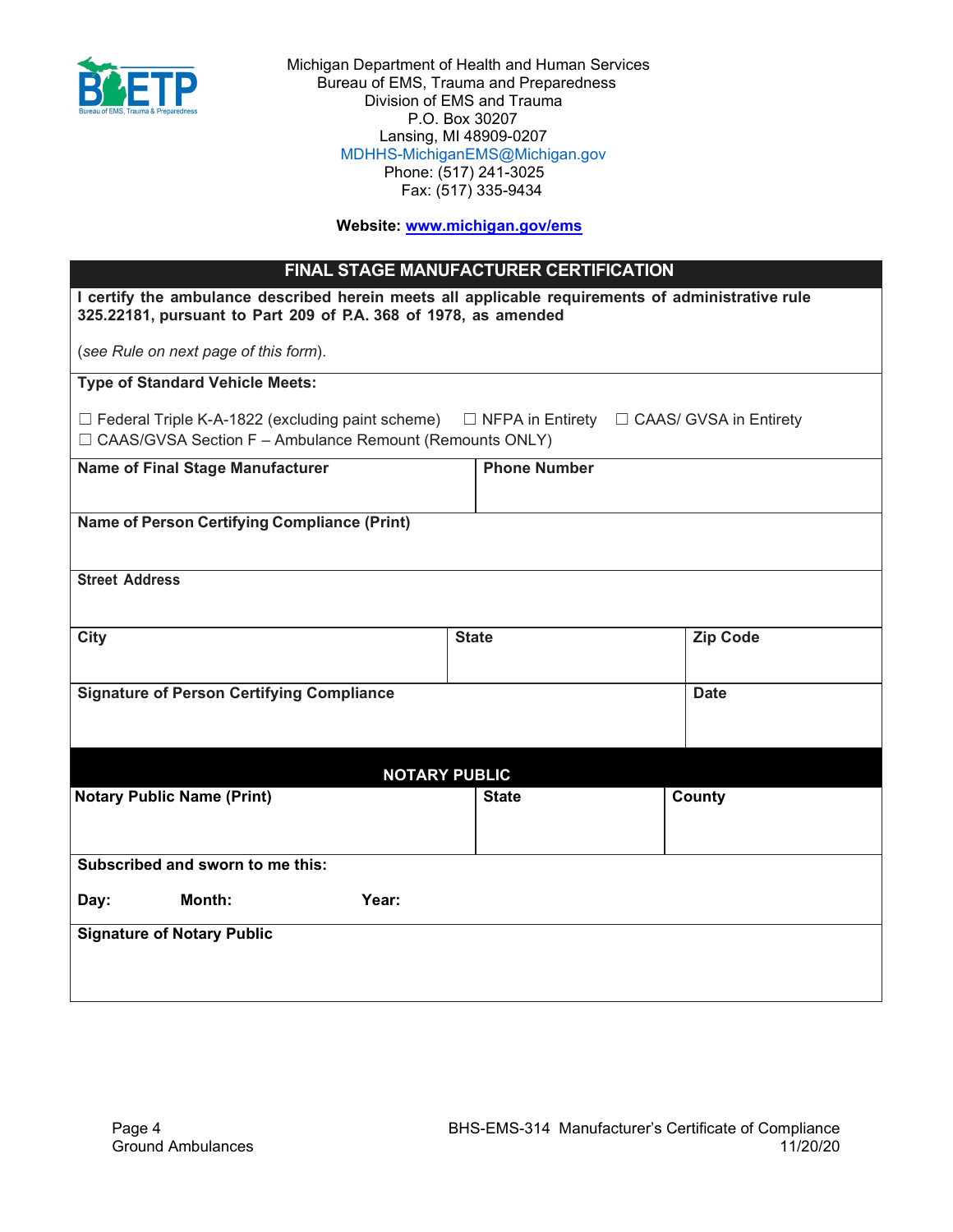

#### **Website: [www.michigan.gov/ems](http://www.michigan.gov/ems)**

| <b>FINAL STAGE MANUFACTURER CERTIFICATION</b>                                                                                                                        |                     |  |                                                       |  |
|----------------------------------------------------------------------------------------------------------------------------------------------------------------------|---------------------|--|-------------------------------------------------------|--|
| I certify the ambulance described herein meets all applicable requirements of administrative rule<br>325.22181, pursuant to Part 209 of P.A. 368 of 1978, as amended |                     |  |                                                       |  |
| (see Rule on next page of this form).                                                                                                                                |                     |  |                                                       |  |
| <b>Type of Standard Vehicle Meets:</b>                                                                                                                               |                     |  |                                                       |  |
| $\Box$ Federal Triple K-A-1822 (excluding paint scheme)<br>$\Box$ CAAS/GVSA Section F - Ambulance Remount (Remounts ONLY)                                            |                     |  | $\Box$ NFPA in Entirety $\Box$ CAAS/ GVSA in Entirety |  |
| <b>Name of Final Stage Manufacturer</b>                                                                                                                              | <b>Phone Number</b> |  |                                                       |  |
| Name of Person Certifying Compliance (Print)                                                                                                                         |                     |  |                                                       |  |
| <b>Street Address</b>                                                                                                                                                |                     |  |                                                       |  |
| City                                                                                                                                                                 | <b>State</b>        |  | <b>Zip Code</b>                                       |  |
| <b>Signature of Person Certifying Compliance</b>                                                                                                                     |                     |  | <b>Date</b>                                           |  |
| <b>NOTARY PUBLIC</b>                                                                                                                                                 |                     |  |                                                       |  |
| <b>Notary Public Name (Print)</b>                                                                                                                                    | <b>State</b>        |  | County                                                |  |

| Subscribed and sworn to me this:  |               |       |  |  |
|-----------------------------------|---------------|-------|--|--|
| Day:                              | <b>Month:</b> | Year: |  |  |
| <b>Signature of Notary Public</b> |               |       |  |  |
|                                   |               |       |  |  |